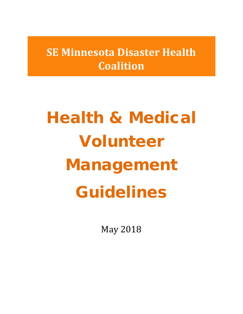**SE Minnesota Disaster Health Coalition**

# Health & Medical Volunteer Management Guidelines

May 2018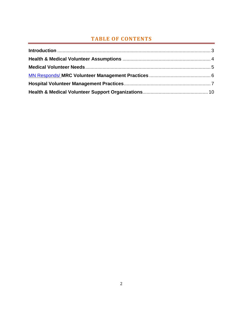## **TABLE OF CONTENTS**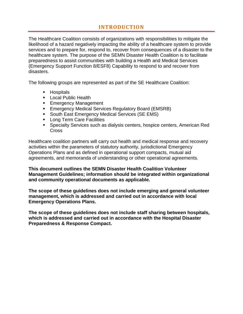## **INTRODUCTION**

<span id="page-2-0"></span>The Healthcare Coalition consists of organizations with responsibilities to mitigate the likelihood of a hazard negatively impacting the ability of a healthcare system to provide services and to prepare for, respond to, recover from consequences of a disaster to the healthcare system. The purpose of the SEMN Disaster Health Coalition is to facilitate preparedness to assist communities with building a Health and Medical Services (Emergency Support Function 8/ESF8) Capability to respond to and recover from disasters.

The following groups are represented as part of the SE Healthcare Coalition:

- **Hospitals**
- **Local Public Health**
- **Emergency Management**
- **Emergency Medical Services Regulatory Board (EMSRB)**
- **South East Emergency Medical Services (SE EMS)**
- **Long Term Care Facilities**
- Specialty Services such as dialysis centers, hospice centers, American Red **Cross**

Healthcare coalition partners will carry out health and medical response and recovery activities within the parameters of statutory authority, jurisdictional Emergency Operations Plans and as defined in operational support compacts, mutual aid agreements, and memoranda of understanding or other operational agreements.

**This document outlines the SEMN Disaster Health Coalition Volunteer Management Guidelines; information should be integrated within organizational and community operational documents as applicable.** 

**The scope of these guidelines does not include emerging and general volunteer management, which is addressed and carried out in accordance with local Emergency Operations Plans.**

**The scope of these guidelines does not include staff sharing between hospitals, which is addressed and carried out in accordance with the Hospital Disaster Preparedness & Response Compact.**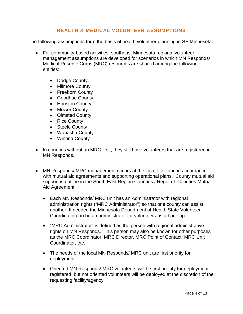## **HEALTH & MEDICAL VOLUNTEER ASSUMPTIONS**

<span id="page-3-0"></span>The following assumptions form the basis of health volunteer planning in SE Minnesota.

- For community-based activities, southeast Minnesota regional volunteer management assumptions are developed for scenarios in which MN Responds/ Medical Reserve Corps (MRC) resources are shared among the following entities:
	- Dodge County
	- Fillmore County
	- Freeborn County
	- Goodhue County
	- Houston County
	- Mower County
	- Olmsted County
	- Rice County
	- Steele County
	- Wabasha County
	- Winona County
- In counties without an MRC Unit, they still have volunteers that are registered in MN Responds.
- MN Responds/ MRC management occurs at the local level and in accordance with mutual aid agreements and supporting operational plans. County mutual aid support is outline in the South East Region Counties / Region 1 Counties Mutual Aid Agreement.
	- Each MN Responds/ MRC unit has an Administrator with regional administration rights ("MRC Administrator") so that one county can assist another, If needed the Minnesota Department of Health State Volunteer Coordinator can be an administrator for volunteers as a back-up.
	- "MRC Administrator" is defined as the person with regional administrative rights on MN Responds. This person may also be known for other purposes as the MRC Coordinator, MRC Director, MRC Point of Contact, MRC Unit Coordinator, etc.
	- The needs of the local MN Responds/ MRC unit are first priority for deployment.
	- Oriented MN Responds/ MRC volunteers will be first priority for deployment, registered, but not oriented volunteers will be deployed at the discretion of the requesting facility/agency.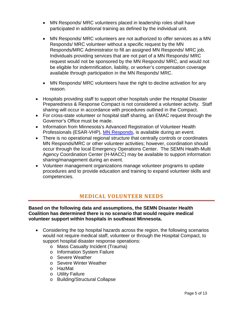- MN Responds/ MRC volunteers placed in leadership roles shall have participated in additional training as defined by the individual unit.
- MN Responds/ MRC volunteers are not authorized to offer services as a MN Responds/ MRC volunteer without a specific request by the MN Responds/MRC Administrator to fill an assigned MN Responds/ MRC job. Individuals providing services that are not part of a MN Responds/ MRC request would not be sponsored by the MN Responds/ MRC, and would not be eligible for indemnification, liability, or worker's compensation coverage available through participation in the MN Responds/ MRC.
- MN Responds/ MRC volunteers have the right to decline activation for any reason.
- Hospitals providing staff to support other hospitals under the Hospital Disaster Preparedness & Response Compact is not considered a volunteer activity. Staff sharing will occur in accordance with procedures outlined in the Compact.
- For cross-state volunteer or hospital staff sharing, an EMAC request through the Governor's Office must be made.
- Information from Minnesota's Advanced Registration of Volunteer Health Professionals (ESAR-VHP), MN [Responds,](https://www.mnresponds.org/) is available during an event.
- There is no operational regional structure that centrally controls or coordinates MN Responds/MRC or other volunteer activities; however, coordination should occur through the local Emergency Operations Center. The SEMN Health-Multi Agency Coordination Center (H-MACC) may be available to support information sharing/management during an event.
- Volunteer management organizations manage volunteer programs to update procedures and to provide education and training to expand volunteer skills and competencies.

## **MEDICAL VOLUNTEER NEEDS**

<span id="page-4-0"></span>**Based on the following data and assumptions, the SEMN Disaster Health Coalition has determined there is no scenario that would require medical volunteer support within hospitals in southeast Minnesota.**

- Considering the top hospital hazards across the region, the following scenarios would not require medical staff, volunteer or through the Hospital Compact, to support hospital disaster response operations:
	- o Mass Casualty Incident (Trauma)
	- o Information System Failure
	- o Severe Weather
	- o Severe Winter Weather
	- o HazMat
	- o Utility Failure
	- o Building/Structural Collapse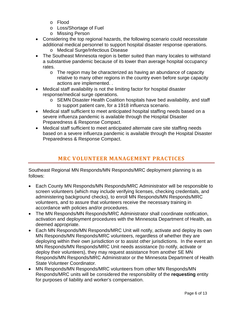- o Flood
- o Loss/Shortage of Fuel
- o Missing Person
- Considering the top regional hazards, the following scenario could necessitate additional medical personnel to support hospital disaster response operations.
	- o Medical Surge/Infectious Disease
- The Southeast Minnesota region is better suited than many locales to withstand a substantive pandemic because of its lower than average hospital occupancy rates.
	- $\circ$  The region may be characterized as having an abundance of capacity relative to many other regions in the country even before surge capacity actions are implemented. .
- Medical staff availability is not the limiting factor for hospital disaster response/medical surge operations.
	- o SEMN Disaster Health Coalition hospitals have bed availability, and staff to support patient care, for a 1918 influenza scenario.
- Medical staff sufficient to meet anticipated hospital staffing needs based on a severe influenza pandemic is available through the Hospital Disaster Preparedness & Response Compact.
- Medical staff sufficient to meet anticipated alternate care site staffing needs based on a severe influenza pandemic is available through the Hospital Disaster Preparedness & Response Compact.

# **MRC VOLUNTEER MANAGEMENT PRACTICES**

<span id="page-5-0"></span>Southeast Regional MN Responds/MN Responds/MRC deployment planning is as follows:

- Each County MN Responds/MN Responds/MRC Administrator will be responsible to screen volunteers (which may include verifying licenses, checking credentials, and administering background checks), to enroll MN Responds/MN Responds/MRC volunteers, and to assure that volunteers receive the necessary training in accordance with policies and/or procedures.
- The MN Responds/MN Responds/MRC Administrator shall coordinate notification, activation and deployment procedures with the Minnesota Department of Health, as deemed appropriate.
- Each MN Responds/MN Responds/MRC Unit will notify, activate and deploy its own MN Responds/MN Responds/MRC volunteers, regardless of whether they are deploying within their own jurisdiction or to assist other jurisdictions. In the event an MN Responds/MN Responds/MRC Unit needs assistance (to notify, activate or deploy their volunteers), they may request assistance from another SE MN Responds/MN Responds/MRC Administrator or the Minnesota Department of Health State Volunteer Coordinator.
- MN Responds/MN Responds/MRC volunteers from other MN Responds/MN Responds/MRC units will be considered the responsibility of the **requesting** entity for purposes of liability and worker's compensation.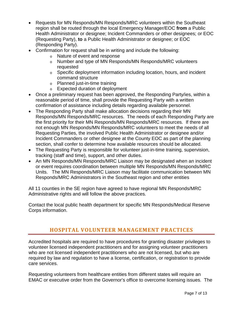- Requests for MN Responds/MN Responds/MRC volunteers within the Southeast region shall be routed through the local Emergency Manager/EOC **from** a Public Health Administrator or designee; Incident Commanders or other designees; or EOC (Requesting Party), **to** a Public Health Administrator or designee; or EOC (Responding Party).
- Confirmation for request shall be in writing and include the following:
	- o Nature of event and response
	- o Number and type of MN Responds/MN Responds/MRC volunteers requested
	- o Specific deployment information including location, hours, and incident command structure
	- o Planned just-in-time training
	- o Expected duration of deployment
- Once a preliminary request has been approved, the Responding Party/ies, within a reasonable period of time, shall provide the Requesting Party with a written confirmation of assistance including details regarding available personnel.
- The Responding Party shall make allocation decisions regarding their MN Responds/MN Responds/MRC resources. The needs of each Responding Party are the first priority for their MN Responds/MN Responds/MRC resources. If there are not enough MN Responds/MN Responds/MRC volunteers to meet the needs of all Requesting Parties, the involved Public Health Administrator or designee and/or Incident Commanders or other designee at the County EOC as part of the planning section, shall confer to determine how available resources should be allocated.
- The Requesting Party is responsible for volunteer just-in-time training, supervision, tracking (staff and time), support, and other duties.
- An MN Responds/MN Responds/MRC Liaison may be designated when an incident or event requires coordination between multiple MN Responds/MN Responds/MRC Units. The MN Responds/MRC Liaison may facilitate communication between MN Responds/MRC Administrators in the Southeast region and other entities

All 11 counties in the SE region have agreed to have regional MN Responds/MRC Administrative rights and will follow the above practices.

<span id="page-6-0"></span>Contact the local public health department for specific MN Responds/Medical Reserve Corps information.

## **HOSPITAL VOLUNTEER MANAGEMENT PRACTICES**

Accredited hospitals are required to have procedures for granting disaster privileges to volunteer licensed independent practitioners and for assigning volunteer practitioners who are not licensed independent practitioners who are not licensed, but who are required by law and regulation to have a license, certification, or registration to provide care services.

Requesting volunteers from healthcare entities from different states will require an EMAC or executive order from the Governor's office to overcome licensing issues. The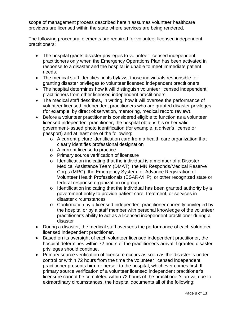scope of management process described herein assumes volunteer healthcare providers are licensed within the state where services are being rendered.

The following procedural elements are required for volunteer licensed independent practitioners:

- The hospital grants disaster privileges to volunteer licensed independent practitioners only when the Emergency Operations Plan has been activated in response to a disaster and the hospital is unable to meet immediate patient needs.
- The medical staff identifies, in its bylaws, those individuals responsible for granting disaster privileges to volunteer licensed independent practitioners.
- The hospital determines how it will distinguish volunteer licensed independent practitioners from other licensed independent practitioners.
- The medical staff describes, in writing, how it will oversee the performance of volunteer licensed independent practitioners who are granted disaster privileges (for example, by direct observation, mentoring, medical record review).
- Before a volunteer practitioner is considered eligible to function as a volunteer licensed independent practitioner, the hospital obtains his or her valid government-issued photo identification (for example, a driver's license or passport) and at least one of the following:
	- $\circ$  A current picture identification card from a health care organization that clearly identifies professional designation
	- o A current license to practice
	- o Primary source verification of licensure
	- $\circ$  Identification indicating that the individual is a member of a Disaster Medical Assistance Team (DMAT), the MN Responds/Medical Reserve Corps (MRC), the Emergency System for Advance Registration of Volunteer Health Professionals (ESAR-VHP), or other recognized state or federal response organization or group
	- o Identification indicating that the individual has been granted authority by a government entity to provide patient care, treatment, or services in disaster circumstances
	- $\circ$  Confirmation by a licensed independent practitioner currently privileged by the hospital or by a staff member with personal knowledge of the volunteer practitioner's ability to act as a licensed independent practitioner during a disaster
- During a disaster, the medical staff oversees the performance of each volunteer licensed independent practitioner.
- Based on its oversight of each volunteer licensed independent practitioner, the hospital determines within 72 hours of the practitioner's arrival if granted disaster privileges should continue.
- Primary source verification of licensure occurs as soon as the disaster is under control or within 72 hours from the time the volunteer licensed independent practitioner presents him- or herself to the hospital, whichever comes first. If primary source verification of a volunteer licensed independent practitioner's licensure cannot be completed within 72 hours of the practitioner's arrival due to extraordinary circumstances, the hospital documents all of the following: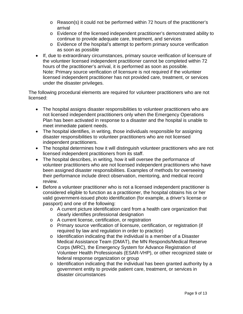- o Reason(s) it could not be performed within 72 hours of the practitioner's arrival
- o Evidence of the licensed independent practitioner's demonstrated ability to continue to provide adequate care, treatment, and services
- o Evidence of the hospital's attempt to perform primary source verification as soon as possible
- If, due to extraordinary circumstances, primary source verification of licensure of the volunteer licensed independent practitioner cannot be completed within 72 hours of the practitioner's arrival, it is performed as soon as possible. Note: Primary source verification of licensure is not required if the volunteer licensed independent practitioner has not provided care, treatment, or services under the disaster privileges.

The following procedural elements are required for volunteer practitioners who are not licensed:

- The hospital assigns disaster responsibilities to volunteer practitioners who are not licensed independent practitioners only when the Emergency Operations Plan has been activated in response to a disaster and the hospital is unable to meet immediate patient needs.
- The hospital identifies, in writing, those individuals responsible for assigning disaster responsibilities to volunteer practitioners who are not licensed independent practitioners.
- The hospital determines how it will distinguish volunteer practitioners who are not licensed independent practitioners from its staff.
- The hospital describes, in writing, how it will oversee the performance of volunteer practitioners who are not licensed independent practitioners who have been assigned disaster responsibilities. Examples of methods for overseeing their performance include direct observation, mentoring, and medical record review.
- Before a volunteer practitioner who is not a licensed independent practitioner is considered eligible to function as a practitioner, the hospital obtains his or her valid government-issued photo identification (for example, a driver's license or passport) and one of the following:
	- o A current picture identification card from a health care organization that clearly identifies professional designation
	- o A current license, certification, or registration
	- o Primary source verification of licensure, certification, or registration (if required by law and regulation in order to practice)
	- o Identification indicating that the individual is a member of a Disaster Medical Assistance Team (DMAT), the MN Responds/Medical Reserve Corps (MRC), the Emergency System for Advance Registration of Volunteer Health Professionals (ESAR-VHP), or other recognized state or federal response organization or group
	- o Identification indicating that the individual has been granted authority by a government entity to provide patient care, treatment, or services in disaster circumstances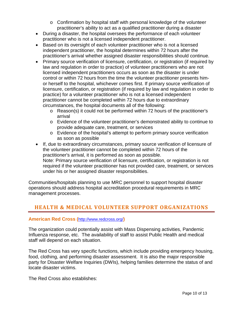- o Confirmation by hospital staff with personal knowledge of the volunteer practitioner's ability to act as a qualified practitioner during a disaster
- During a disaster, the hospital oversees the performance of each volunteer practitioner who is not a licensed independent practitioner.
- Based on its oversight of each volunteer practitioner who is not a licensed independent practitioner, the hospital determines within 72 hours after the practitioner's arrival whether assigned disaster responsibilities should continue.
- Primary source verification of licensure, certification, or registration (if required by law and regulation in order to practice) of volunteer practitioners who are not licensed independent practitioners occurs as soon as the disaster is under control or within 72 hours from the time the volunteer practitioner presents himor herself to the hospital, whichever comes first. If primary source verification of licensure, certification, or registration (if required by law and regulation in order to practice) for a volunteer practitioner who is not a licensed independent practitioner cannot be completed within 72 hours due to extraordinary circumstances, the hospital documents all of the following:
	- o Reason(s) it could not be performed within 72 hours of the practitioner's arrival
	- o Evidence of the volunteer practitioner's demonstrated ability to continue to provide adequate care, treatment, or services
	- o Evidence of the hospital's attempt to perform primary source verification as soon as possible
- If, due to extraordinary circumstances, primary source verification of licensure of the volunteer practitioner cannot be completed within 72 hours of the practitioner's arrival, it is performed as soon as possible. Note: Primary source verification of licensure, certification, or registration is not required if the volunteer practitioner has not provided care, treatment, or services under his or her assigned disaster responsibilities.

Communities/hospitals planning to use MRC personnel to support hospital disaster operations should address hospital accreditation procedural requirements in MRC management processes.

# <span id="page-9-0"></span>**HEALTH & MEDICAL VOLUNTEER SUPPORT ORGANIZATIONS**

### **American Red Cross (**<http://www.redcross.org/>**)**

The organization could potentially assist with Mass Dispensing activities, Pandemic Influenza response, etc. The availability of staff to assist Public Health and medical staff will depend on each situation.

The Red Cross has very specific functions, which include providing emergency housing, food, clothing, and performing disaster assessment. It is also the major responsible party for Disaster Welfare Inquiries (DWIs), helping families determine the status of and locate disaster victims.

The Red Cross also establishes: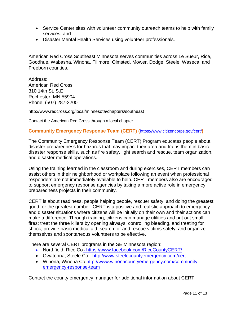- Service Center sites with volunteer community outreach teams to help with family services, and
- Disaster Mental Health Services using volunteer professionals.

American Red Cross Southeast Minnesota serves communities across Le Sueur, Rice, Goodhue, Wabasha, Winona, Fillmore, Olmsted, Mower, Dodge, Steele, Waseca, and Freeborn counties.

Address: American Red Cross 310 14th St. S.E. Rochester, MN 55904 Phone: (507) 287-2200

http://www.redcross.org/local/minnesota/chapters/southeast

Contact the American Red Cross through a local chapter.

#### **Community Emergency Response Team (CERT) (**<https://www.citizencorps.gov/cert/>**)**

The Community Emergency Response Team (CERT) Program educates people about disaster preparedness for hazards that may impact their area and trains them in basic disaster response skills, such as fire safety, light search and rescue, team organization, and disaster medical operations.

Using the training learned in the classroom and during exercises, CERT members can assist others in their neighborhood or workplace following an event when professional responders are not immediately available to help. CERT members also are encouraged to support emergency response agencies by taking a more active role in emergency preparedness projects in their community.

CERT is about readiness, people helping people, rescuer safety, and doing the greatest good for the greatest number. CERT is a positive and realistic approach to emergency and disaster situations where citizens will be initially on their own and their actions can make a difference. Through training, citizens can manage utilities and put out small fires; treat the three killers by opening airways, controlling bleeding, and treating for shock; provide basic medical aid; search for and rescue victims safely; and organize themselves and spontaneous volunteers to be effective.

There are several CERT programs in the SE Minnesota region:

- Northfield, Rice Co <https://www.facebook.com/RiceCountyCERT/>
- Owatonna, Steele Co <http://www.steelecountyemergency.com/cert>
- Winona, Winona Co [http://www.winonacountyemergency.com/community](http://www.winonacountyemergency.com/community-emergency-response-team)[emergency-response-team](http://www.winonacountyemergency.com/community-emergency-response-team)

Contact the county emergency manager for additional information about CERT.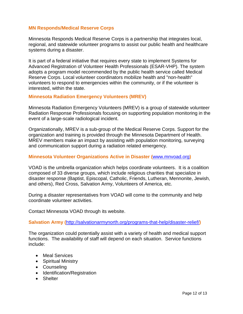#### **MN Responds/Medical Reserve Corps**

Minnesota Responds Medical Reserve Corps is a partnership that integrates local, regional, and statewide volunteer programs to assist our public health and healthcare systems during a disaster.

It is part of a federal initiative that requires every state to implement Systems for Advanced Registration of Volunteer Health Professionals (ESAR-VHP). The system adopts a program model recommended by the public health service called Medical Reserve Corps. Local volunteer coordinators mobilize health and "non-health" volunteers to respond to emergencies within the community, or if the volunteer is interested, within the state.

#### **Minnesota Radiation Emergency Volunteers (MREV)**

Minnesota Radiation Emergency Volunteers (MREV) is a group of statewide volunteer Radiation Response Professionals focusing on supporting population monitoring in the event of a large-scale radiological incident.

Organizationally, MREV is a sub-group of the Medical Reserve Corps. Support for the organization and training is provided through the Minnesota Department of Health. MREV members make an impact by assisting with population monitoring, surveying and communication support during a radiation related emergency.

#### **Minnesota Volunteer Organizations Active in Disaster (**[www.mnvoad.org](http://www.mnvoad.org/)**)**

VOAD is the umbrella organization which helps coordinate volunteers. It is a coalition composed of 33 diverse groups, which include religious charities that specialize in disaster response (Baptist, Episcopal, Catholic, Friends, Lutheran, Mennonite, Jewish, and others), Red Cross, Salvation Army, Volunteers of America, etc.

During a disaster representatives from VOAD will come to the community and help coordinate volunteer activities.

Contact Minnesota VOAD through its website.

**Salvation Army (**<http://salvationarmynorth.org/programs-that-help/disaster-relief/>**)**

The organization could potentially assist with a variety of health and medical support functions. The availability of staff will depend on each situation. Service functions include:

- Meal Services
- Spiritual Ministry
- Counseling
- Identification/Registration
- Shelter